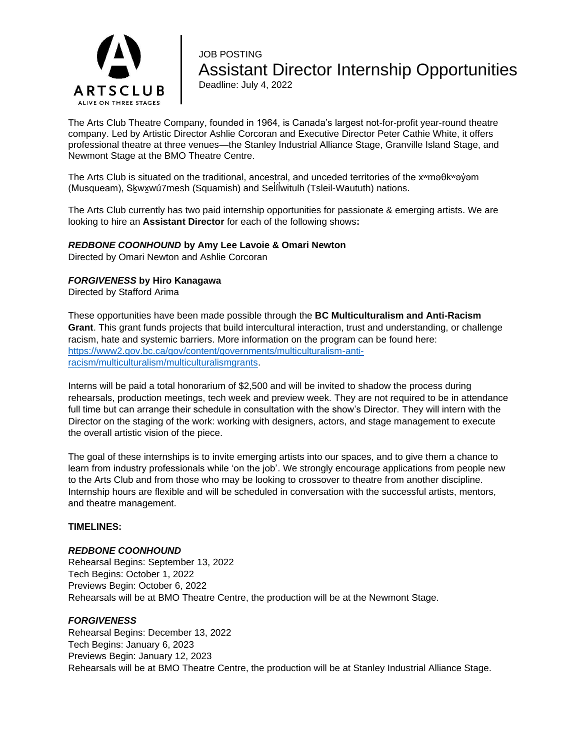

# JOB POSTING Assistant Director Internship Opportunities Deadline: July 4, 2022

The Arts Club Theatre Company, founded in 1964, is Canada's largest not-for-profit year-round theatre company. Led by Artistic Director Ashlie Corcoran and Executive Director Peter Cathie White, it offers professional theatre at three venues—the Stanley Industrial Alliance Stage, Granville Island Stage, and Newmont Stage at the BMO Theatre Centre.

The Arts Club is situated on the traditional, ancestral, and unceded territories of the x<sup>w</sup>maθk<sup>w</sup>ay<sup>'</sup> am (Musqueam), Sḵwx̱wú7mesh (Squamish) and Sel íl ̓witulh (Tsleil-Waututh) nations. ̓

The Arts Club currently has two paid internship opportunities for passionate & emerging artists. We are looking to hire an **Assistant Director** for each of the following shows**:**

## *REDBONE COONHOUND* **by Amy Lee Lavoie & Omari Newton**

Directed by Omari Newton and Ashlie Corcoran

## *FORGIVENESS* **by Hiro Kanagawa**

Directed by Stafford Arima

These opportunities have been made possible through the **BC Multiculturalism and Anti-Racism Grant**. This grant funds projects that build intercultural interaction, trust and understanding, or challenge racism, hate and systemic barriers. More information on the program can be found here: [https://www2.gov.bc.ca/gov/content/governments/multiculturalism-anti](https://www2.gov.bc.ca/gov/content/governments/multiculturalism-anti-racism/multiculturalism/multiculturalismgrants)[racism/multiculturalism/multiculturalismgrants.](https://www2.gov.bc.ca/gov/content/governments/multiculturalism-anti-racism/multiculturalism/multiculturalismgrants)

Interns will be paid a total honorarium of \$2,500 and will be invited to shadow the process during rehearsals, production meetings, tech week and preview week. They are not required to be in attendance full time but can arrange their schedule in consultation with the show's Director. They will intern with the Director on the staging of the work: working with designers, actors, and stage management to execute the overall artistic vision of the piece.

The goal of these internships is to invite emerging artists into our spaces, and to give them a chance to learn from industry professionals while 'on the job'. We strongly encourage applications from people new to the Arts Club and from those who may be looking to crossover to theatre from another discipline. Internship hours are flexible and will be scheduled in conversation with the successful artists, mentors, and theatre management.

#### **TIMELINES:**

#### *REDBONE COONHOUND*

Rehearsal Begins: September 13, 2022 Tech Begins: October 1, 2022 Previews Begin: October 6, 2022 Rehearsals will be at BMO Theatre Centre, the production will be at the Newmont Stage.

#### *FORGIVENESS*

Rehearsal Begins: December 13, 2022 Tech Begins: January 6, 2023 Previews Begin: January 12, 2023 Rehearsals will be at BMO Theatre Centre, the production will be at Stanley Industrial Alliance Stage.